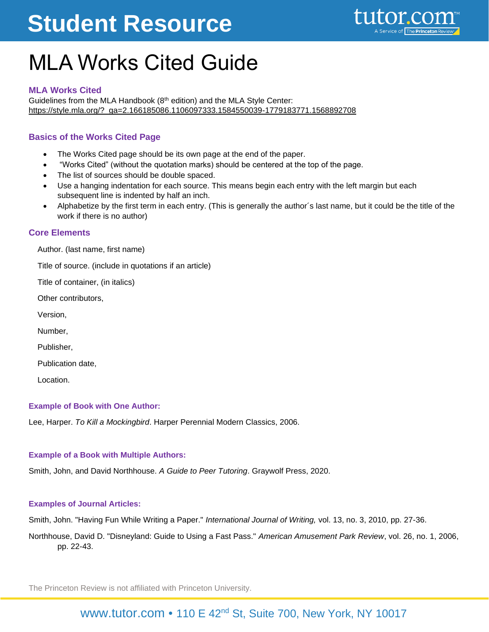# **Student Resource**

### MLA Works Cited Guide

#### **MLA Works Cited**

Guidelines from the MLA Handbook (8th edition) and the MLA Style Center: [https://style.mla.org/?\\_ga=2.166185086.1106097333.1584550039-1779183771.1568892708](https://style.mla.org/?_ga=2.166185086.1106097333.1584550039-1779183771.1568892708)

#### **Basics of the Works Cited Page**

- The Works Cited page should be its own page at the end of the paper.
- "Works Cited" (without the quotation marks) should be centered at the top of the page.
- The list of sources should be double spaced.
- Use a hanging indentation for each source. This means begin each entry with the left margin but each subsequent line is indented by half an inch.
- Alphabetize by the first term in each entry. (This is generally the author´s last name, but it could be the title of the work if there is no author)

#### **Core Elements**

Author. (last name, first name)

Title of source. (include in quotations if an article)

Title of container, (in italics)

Other contributors,

Version,

Number,

Publisher,

Publication date,

Location.

#### **Example of Book with One Author:**

Lee, Harper. *To Kill a Mockingbird*. Harper Perennial Modern Classics, 2006.

#### **Example of a Book with Multiple Authors:**

Smith, John, and David Northhouse. *A Guide to Peer Tutoring*. Graywolf Press, 2020.

#### **Examples of Journal Articles:**

Smith, John. "Having Fun While Writing a Paper." *International Journal of Writing,* vol. 13, no. 3, 2010, pp. 27-36.

Northhouse, David D. "Disneyland: Guide to Using a Fast Pass." *American Amusement Park Review*, vol. 26, no. 1, 2006, pp. 22-43.

The Princeton Review is not affiliated with Princeton University.

### [www.tutor.com](http://www.tutor.com/) • 110 E 42<sup>nd</sup> St, Suite 700, New York, NY 10017